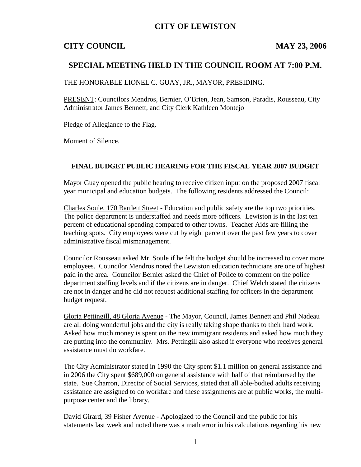### **CITY OF LEWISTON**

### **CITY COUNCIL** MAY 23, 2006

### **SPECIAL MEETING HELD IN THE COUNCIL ROOM AT 7:00 P.M.**

THE HONORABLE LIONEL C. GUAY, JR., MAYOR, PRESIDING.

PRESENT: Councilors Mendros, Bernier, O'Brien, Jean, Samson, Paradis, Rousseau, City Administrator James Bennett, and City Clerk Kathleen Montejo

Pledge of Allegiance to the Flag.

Moment of Silence.

#### **FINAL BUDGET PUBLIC HEARING FOR THE FISCAL YEAR 2007 BUDGET**

Mayor Guay opened the public hearing to receive citizen input on the proposed 2007 fiscal year municipal and education budgets. The following residents addressed the Council:

Charles Soule, 170 Bartlett Street - Education and public safety are the top two priorities. The police department is understaffed and needs more officers. Lewiston is in the last ten percent of educational spending compared to other towns. Teacher Aids are filling the teaching spots. City employees were cut by eight percent over the past few years to cover administrative fiscal mismanagement.

Councilor Rousseau asked Mr. Soule if he felt the budget should be increased to cover more employees. Councilor Mendros noted the Lewiston education technicians are one of highest paid in the area. Councilor Bernier asked the Chief of Police to comment on the police department staffing levels and if the citizens are in danger. Chief Welch stated the citizens are not in danger and he did not request additional staffing for officers in the department budget request.

Gloria Pettingill, 48 Gloria Avenue - The Mayor, Council, James Bennett and Phil Nadeau are all doing wonderful jobs and the city is really taking shape thanks to their hard work. Asked how much money is spent on the new immigrant residents and asked how much they are putting into the community. Mrs. Pettingill also asked if everyone who receives general assistance must do workfare.

The City Administrator stated in 1990 the City spent \$1.1 million on general assistance and in 2006 the City spent \$689,000 on general assistance with half of that reimbursed by the state. Sue Charron, Director of Social Services, stated that all able-bodied adults receiving assistance are assigned to do workfare and these assignments are at public works, the multipurpose center and the library.

David Girard, 39 Fisher Avenue - Apologized to the Council and the public for his statements last week and noted there was a math error in his calculations regarding his new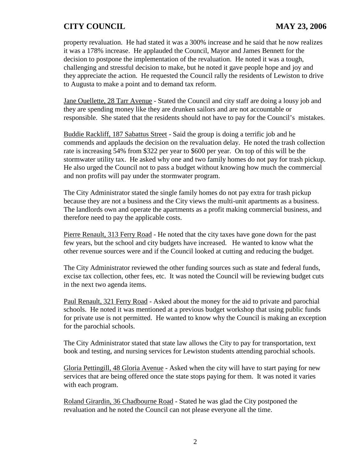property revaluation. He had stated it was a 300% increase and he said that he now realizes it was a 178% increase. He applauded the Council, Mayor and James Bennett for the decision to postpone the implementation of the revaluation. He noted it was a tough, challenging and stressful decision to make, but he noted it gave people hope and joy and they appreciate the action. He requested the Council rally the residents of Lewiston to drive to Augusta to make a point and to demand tax reform.

Jane Ouellette, 28 Tarr Avenue - Stated the Council and city staff are doing a lousy job and they are spending money like they are drunken sailors and are not accountable or responsible. She stated that the residents should not have to pay for the Council's mistakes.

Buddie Rackliff, 187 Sabattus Street - Said the group is doing a terrific job and he commends and applauds the decision on the revaluation delay. He noted the trash collection rate is increasing 54% from \$322 per year to \$600 per year. On top of this will be the stormwater utility tax. He asked why one and two family homes do not pay for trash pickup. He also urged the Council not to pass a budget without knowing how much the commercial and non profits will pay under the stormwater program.

The City Administrator stated the single family homes do not pay extra for trash pickup because they are not a business and the City views the multi-unit apartments as a business. The landlords own and operate the apartments as a profit making commercial business, and therefore need to pay the applicable costs.

Pierre Renault, 313 Ferry Road - He noted that the city taxes have gone down for the past few years, but the school and city budgets have increased. He wanted to know what the other revenue sources were and if the Council looked at cutting and reducing the budget.

The City Administrator reviewed the other funding sources such as state and federal funds, excise tax collection, other fees, etc. It was noted the Council will be reviewing budget cuts in the next two agenda items.

Paul Renault, 321 Ferry Road - Asked about the money for the aid to private and parochial schools. He noted it was mentioned at a previous budget workshop that using public funds for private use is not permitted. He wanted to know why the Council is making an exception for the parochial schools.

The City Administrator stated that state law allows the City to pay for transportation, text book and testing, and nursing services for Lewiston students attending parochial schools.

Gloria Pettingill, 48 Gloria Avenue - Asked when the city will have to start paying for new services that are being offered once the state stops paying for them. It was noted it varies with each program.

Roland Girardin, 36 Chadbourne Road - Stated he was glad the City postponed the revaluation and he noted the Council can not please everyone all the time.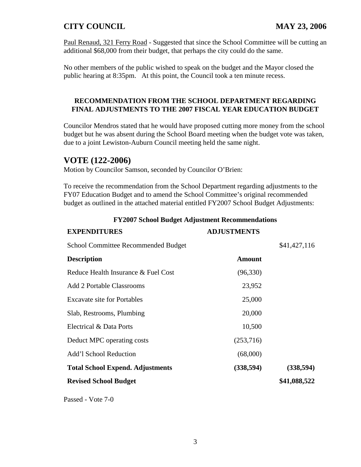Paul Renaud, 321 Ferry Road - Suggested that since the School Committee will be cutting an additional \$68,000 from their budget, that perhaps the city could do the same.

No other members of the public wished to speak on the budget and the Mayor closed the public hearing at 8:35pm. At this point, the Council took a ten minute recess.

#### **RECOMMENDATION FROM THE SCHOOL DEPARTMENT REGARDING FINAL ADJUSTMENTS TO THE 2007 FISCAL YEAR EDUCATION BUDGET**

Councilor Mendros stated that he would have proposed cutting more money from the school budget but he was absent during the School Board meeting when the budget vote was taken, due to a joint Lewiston-Auburn Council meeting held the same night.

# **VOTE (122-2006)**

Motion by Councilor Samson, seconded by Councilor O'Brien:

To receive the recommendation from the School Department regarding adjustments to the FY07 Education Budget and to amend the School Committee's original recommended budget as outlined in the attached material entitled FY2007 School Budget Adjustments:

| <b>EXPENDITURES</b>                        | <b>ADJUSTMENTS</b> |              |
|--------------------------------------------|--------------------|--------------|
| <b>School Committee Recommended Budget</b> |                    | \$41,427,116 |
| <b>Description</b>                         | <b>Amount</b>      |              |
| Reduce Health Insurance & Fuel Cost        | (96, 330)          |              |
| <b>Add 2 Portable Classrooms</b>           | 23,952             |              |
| <b>Excavate site for Portables</b>         | 25,000             |              |
| Slab, Restrooms, Plumbing                  | 20,000             |              |
| Electrical & Data Ports                    | 10,500             |              |
| Deduct MPC operating costs                 | (253,716)          |              |
| <b>Add'l School Reduction</b>              | (68,000)           |              |
| <b>Total School Expend. Adjustments</b>    | (338, 594)         | (338, 594)   |
| <b>Revised School Budget</b>               |                    | \$41,088,522 |

#### **FY2007 School Budget Adjustment Recommendations**

Passed - Vote 7-0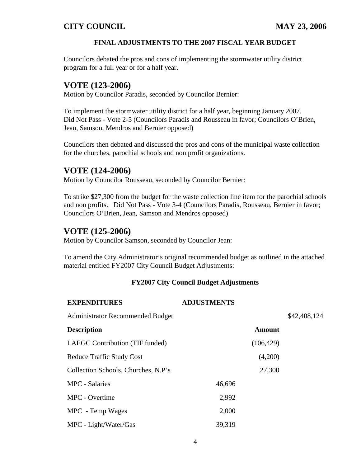#### **FINAL ADJUSTMENTS TO THE 2007 FISCAL YEAR BUDGET**

Councilors debated the pros and cons of implementing the stormwater utility district program for a full year or for a half year.

# **VOTE (123-2006)**

Motion by Councilor Paradis, seconded by Councilor Bernier:

To implement the stormwater utility district for a half year, beginning January 2007. Did Not Pass - Vote 2-5 (Councilors Paradis and Rousseau in favor; Councilors O'Brien, Jean, Samson, Mendros and Bernier opposed)

Councilors then debated and discussed the pros and cons of the municipal waste collection for the churches, parochial schools and non profit organizations.

# **VOTE (124-2006)**

Motion by Councilor Rousseau, seconded by Councilor Bernier:

To strike \$27,300 from the budget for the waste collection line item for the parochial schools and non profits. Did Not Pass - Vote 3-4 (Councilors Paradis, Rousseau, Bernier in favor; Councilors O'Brien, Jean, Samson and Mendros opposed)

# **VOTE (125-2006)**

Motion by Councilor Samson, seconded by Councilor Jean:

To amend the City Administrator's original recommended budget as outlined in the attached material entitled FY2007 City Council Budget Adjustments:

#### **FY2007 City Council Budget Adjustments**

| <b>EXPENDITURES</b>                 | <b>ADJUSTMENTS</b> |               |              |
|-------------------------------------|--------------------|---------------|--------------|
| Administrator Recommended Budget    |                    |               | \$42,408,124 |
| <b>Description</b>                  |                    | <b>Amount</b> |              |
| LAEGC Contribution (TIF funded)     |                    | (106, 429)    |              |
| <b>Reduce Traffic Study Cost</b>    |                    | (4,200)       |              |
| Collection Schools, Churches, N.P's |                    | 27,300        |              |
| <b>MPC</b> - Salaries               | 46,696             |               |              |
| MPC - Overtime                      | 2,992              |               |              |
| MPC - Temp Wages                    | 2,000              |               |              |
| MPC - Light/Water/Gas               | 39,319             |               |              |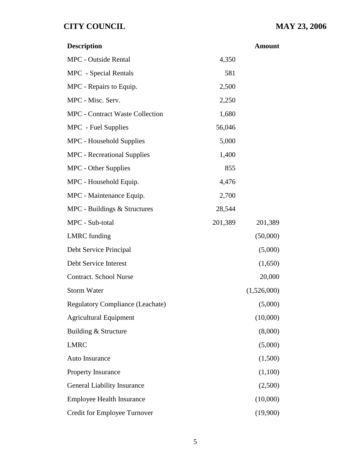| <b>Description</b>                      |         | <b>Amount</b> |
|-----------------------------------------|---------|---------------|
| <b>MPC</b> - Outside Rental             | 4,350   |               |
| <b>MPC</b> - Special Rentals            | 581     |               |
| MPC - Repairs to Equip.                 | 2,500   |               |
| MPC - Misc. Serv.                       | 2,250   |               |
| <b>MPC</b> - Contract Waste Collection  | 1,680   |               |
| MPC - Fuel Supplies                     | 56,046  |               |
| MPC - Household Supplies                | 5,000   |               |
| <b>MPC</b> - Recreational Supplies      | 1,400   |               |
| MPC - Other Supplies                    | 855     |               |
| MPC - Household Equip.                  | 4,476   |               |
| MPC - Maintenance Equip.                | 2,700   |               |
| MPC - Buildings & Structures            | 28,544  |               |
| MPC - Sub-total                         | 201,389 | 201,389       |
| <b>LMRC</b> funding                     |         | (50,000)      |
| Debt Service Principal                  |         | (5,000)       |
| Debt Service Interest                   |         | (1,650)       |
| <b>Contract. School Nurse</b>           |         | 20,000        |
| <b>Storm Water</b>                      |         | (1,526,000)   |
| <b>Regulatory Compliance (Leachate)</b> |         | (5,000)       |
| <b>Agricultural Equipment</b>           |         | (10,000)      |
| Building & Structure                    |         | (8,000)       |
| <b>LMRC</b>                             |         | (5,000)       |
| <b>Auto Insurance</b>                   |         | (1,500)       |
| <b>Property Insurance</b>               |         | (1,100)       |
| <b>General Liability Insurance</b>      |         | (2,500)       |
| <b>Employee Health Insurance</b>        |         | (10,000)      |
| <b>Credit for Employee Turnover</b>     |         | (19,900)      |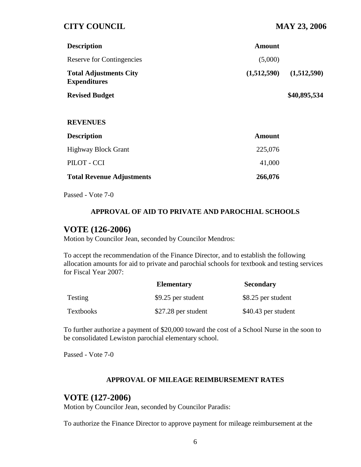| <b>Description</b>                                   | Amount      |              |
|------------------------------------------------------|-------------|--------------|
| <b>Reserve for Contingencies</b>                     | (5,000)     |              |
| <b>Total Adjustments City</b><br><b>Expenditures</b> | (1,512,590) | (1,512,590)  |
| <b>Revised Budget</b>                                |             | \$40,895,534 |

#### **REVENUES**

| <b>Description</b>               | Amount  |
|----------------------------------|---------|
| <b>Highway Block Grant</b>       | 225,076 |
| PILOT - CCI                      | 41,000  |
| <b>Total Revenue Adjustments</b> | 266,076 |

Passed - Vote 7-0

#### **APPROVAL OF AID TO PRIVATE AND PAROCHIAL SCHOOLS**

### **VOTE (126-2006)**

Motion by Councilor Jean, seconded by Councilor Mendros:

To accept the recommendation of the Finance Director, and to establish the following allocation amounts for aid to private and parochial schools for textbook and testing services for Fiscal Year 2007:

|                  | <b>Elementary</b>   | <b>Secondary</b>    |
|------------------|---------------------|---------------------|
| <b>Testing</b>   | \$9.25 per student  | \$8.25 per student  |
| <b>Textbooks</b> | \$27.28 per student | \$40.43 per student |

To further authorize a payment of \$20,000 toward the cost of a School Nurse in the soon to be consolidated Lewiston parochial elementary school.

Passed - Vote 7-0

#### **APPROVAL OF MILEAGE REIMBURSEMENT RATES**

### **VOTE (127-2006)**

Motion by Councilor Jean, seconded by Councilor Paradis:

To authorize the Finance Director to approve payment for mileage reimbursement at the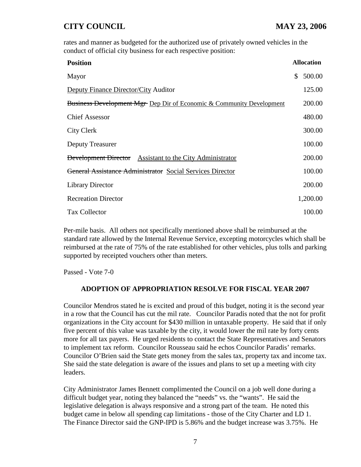rates and manner as budgeted for the authorized use of privately owned vehicles in the conduct of official city business for each respective position:

| <b>Position</b>                                                                 | <b>Allocation</b> |
|---------------------------------------------------------------------------------|-------------------|
| Mayor                                                                           | 500.00<br>\$      |
| <b>Deputy Finance Director/City Auditor</b>                                     | 125.00            |
| <b>Business Development Mgr Dep Dir of Economic &amp; Community Development</b> | 200.00            |
| <b>Chief Assessor</b>                                                           | 480.00            |
| City Clerk                                                                      | 300.00            |
| Deputy Treasurer                                                                | 100.00            |
| <b>Development Director</b> Assistant to the City Administrator                 | 200.00            |
| General Assistance Administrator Social Services Director                       | 100.00            |
| <b>Library Director</b>                                                         | 200.00            |
| <b>Recreation Director</b>                                                      | 1,200.00          |
| <b>Tax Collector</b>                                                            | 100.00            |

Per-mile basis. All others not specifically mentioned above shall be reimbursed at the standard rate allowed by the Internal Revenue Service, excepting motorcycles which shall be reimbursed at the rate of 75% of the rate established for other vehicles, plus tolls and parking supported by receipted vouchers other than meters.

Passed - Vote 7-0

#### **ADOPTION OF APPROPRIATION RESOLVE FOR FISCAL YEAR 2007**

Councilor Mendros stated he is excited and proud of this budget, noting it is the second year in a row that the Council has cut the mil rate. Councilor Paradis noted that the not for profit organizations in the City account for \$430 million in untaxable property. He said that if only five percent of this value was taxable by the city, it would lower the mil rate by forty cents more for all tax payers. He urged residents to contact the State Representatives and Senators to implement tax reform. Councilor Rousseau said he echos Councilor Paradis' remarks. Councilor O'Brien said the State gets money from the sales tax, property tax and income tax. She said the state delegation is aware of the issues and plans to set up a meeting with city leaders.

City Administrator James Bennett complimented the Council on a job well done during a difficult budget year, noting they balanced the "needs" vs. the "wants". He said the legislative delegation is always responsive and a strong part of the team. He noted this budget came in below all spending cap limitations - those of the City Charter and LD 1. The Finance Director said the GNP-IPD is 5.86% and the budget increase was 3.75%. He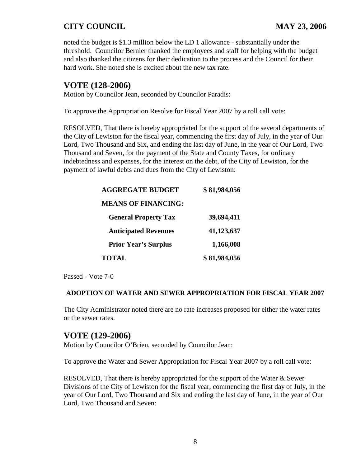noted the budget is \$1.3 million below the LD 1 allowance - substantially under the threshold. Councilor Bernier thanked the employees and staff for helping with the budget and also thanked the citizens for their dedication to the process and the Council for their hard work. She noted she is excited about the new tax rate.

# **VOTE (128-2006)**

Motion by Councilor Jean, seconded by Councilor Paradis:

To approve the Appropriation Resolve for Fiscal Year 2007 by a roll call vote:

RESOLVED, That there is hereby appropriated for the support of the several departments of the City of Lewiston for the fiscal year, commencing the first day of July, in the year of Our Lord, Two Thousand and Six, and ending the last day of June, in the year of Our Lord, Two Thousand and Seven, for the payment of the State and County Taxes, for ordinary indebtedness and expenses, for the interest on the debt, of the City of Lewiston, for the payment of lawful debts and dues from the City of Lewiston:

| <b>AGGREGATE BUDGET</b>     | \$81,984,056 |
|-----------------------------|--------------|
| <b>MEANS OF FINANCING:</b>  |              |
| <b>General Property Tax</b> | 39,694,411   |
| <b>Anticipated Revenues</b> | 41,123,637   |
| <b>Prior Year's Surplus</b> | 1,166,008    |
| <b>TOTAL</b>                | \$81,984,056 |

Passed - Vote 7-0

#### **ADOPTION OF WATER AND SEWER APPROPRIATION FOR FISCAL YEAR 2007**

The City Administrator noted there are no rate increases proposed for either the water rates or the sewer rates.

### **VOTE (129-2006)**

Motion by Councilor O'Brien, seconded by Councilor Jean:

To approve the Water and Sewer Appropriation for Fiscal Year 2007 by a roll call vote:

RESOLVED, That there is hereby appropriated for the support of the Water & Sewer Divisions of the City of Lewiston for the fiscal year, commencing the first day of July, in the year of Our Lord, Two Thousand and Six and ending the last day of June, in the year of Our Lord, Two Thousand and Seven: